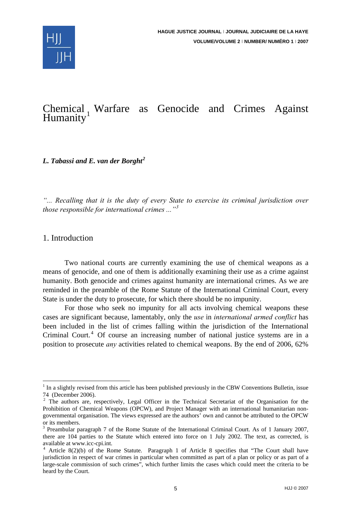

# Chemical Warfare as Genocide and Crimes Against Humanity

*L. Tabassi and E. van der Borght[2](#page-0-1)*

*"... Recalling that it is the duty of every State to exercise its criminal jurisdiction over those responsible for international crimes ..."[3](#page-0-2)*

# 1. Introduction

1

Two national courts are currently examining the use of chemical weapons as a means of genocide, and one of them is additionally examining their use as a crime against humanity. Both genocide and crimes against humanity are international crimes. As we are reminded in the preamble of the Rome Statute of the International Criminal Court, every State is under the duty to prosecute, for which there should be no impunity.

For those who seek no impunity for all acts involving chemical weapons these cases are significant because, lamentably, only the *use* in *international armed conflict* has been included in the list of crimes falling within the jurisdiction of the International Criminal Court.<sup>[4](#page-0-3)</sup> Of course an increasing number of national justice systems are in a position to prosecute *any* activities related to chemical weapons. By the end of 2006, 62%

<span id="page-0-0"></span><sup>&</sup>lt;sup>1</sup> In a slightly revised from this article has been published previously in the CBW Conventions Bulletin, issue 74 (December 2006).

<span id="page-0-1"></span> $2$  The authors are, respectively, Legal Officer in the Technical Secretariat of the Organisation for the Prohibition of Chemical Weapons (OPCW), and Project Manager with an international humanitarian nongovernmental organisation. The views expressed are the authors' own and cannot be attributed to the OPCW or its members.

<span id="page-0-2"></span><sup>&</sup>lt;sup>3</sup> Preambular paragraph 7 of the Rome Statute of the International Criminal Court. As of 1 January 2007, there are 104 parties to the Statute which entered into force on 1 July 2002. The text, as corrected, is available at www.icc-cpi.int.

<span id="page-0-3"></span><sup>4</sup> Article 8(2)(b) of the Rome Statute. Paragraph 1 of Article 8 specifies that "The Court shall have jurisdiction in respect of war crimes in particular when committed as part of a plan or policy or as part of a large-scale commission of such crimes", which further limits the cases which could meet the criteria to be heard by the Court.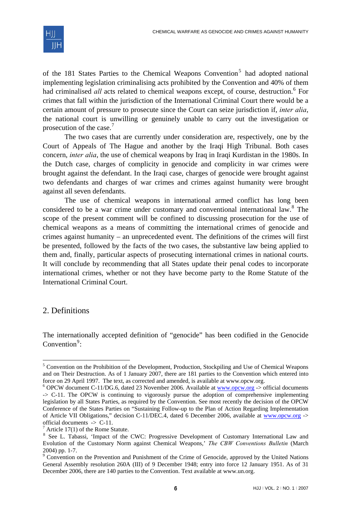

of the 181 States Parties to the Chemical Weapons Convention<sup>[5](#page-1-0)</sup> had adopted national implementing legislation criminalising acts prohibited by the Convention and 40% of them had criminalised *all* acts related to chemical weapons except, of course, destruction.<sup>[6](#page-1-1)</sup> For crimes that fall within the jurisdiction of the International Criminal Court there would be a certain amount of pressure to prosecute since the Court can seize jurisdiction if, *inter alia*, the national court is unwilling or genuinely unable to carry out the investigation or prosecution of the case. $<sup>7</sup>$  $<sup>7</sup>$  $<sup>7</sup>$ </sup>

The two cases that are currently under consideration are, respectively, one by the Court of Appeals of The Hague and another by the Iraqi High Tribunal. Both cases concern, *inter alia*, the use of chemical weapons by Iraq in Iraqi Kurdistan in the 1980s. In the Dutch case, charges of complicity in genocide and complicity in war crimes were brought against the defendant. In the Iraqi case, charges of genocide were brought against two defendants and charges of war crimes and crimes against humanity were brought against all seven defendants.

The use of chemical weapons in international armed conflict has long been considered to be a war crime under customary and conventional international law. $8$  The scope of the present comment will be confined to discussing prosecution for the use of chemical weapons as a means of committing the international crimes of genocide and crimes against humanity – an unprecedented event. The definitions of the crimes will first be presented, followed by the facts of the two cases, the substantive law being applied to them and, finally, particular aspects of prosecuting international crimes in national courts. It will conclude by recommending that all States update their penal codes to incorporate international crimes, whether or not they have become party to the Rome Statute of the International Criminal Court.

# 2. Definitions

1

The internationally accepted definition of "genocide" has been codified in the Genocide Convention $9$ :

<span id="page-1-0"></span><sup>&</sup>lt;sup>5</sup> Convention on the Prohibition of the Development, Production, Stockpiling and Use of Chemical Weapons and on Their Destruction. As of 1 January 2007, there are 181 parties to the Convention which entered into force on 29 April 1997. The text, as corrected and amended, is available at www.opcw.org.

<span id="page-1-1"></span> $6$  OPCW document C-11/DG.6, dated 23 November 2006. Available at [www.opcw.org](http://www.opcw.org/) -> official documents -> C-11. The OPCW is continuing to vigorously pursue the adoption of comprehensive implementing legislation by all States Parties, as required by the Convention. See most recently the decision of the OPCW Conference of the States Parties on "Sustaining Follow-up to the Plan of Action Regarding Implementation of Article VII Obligations," decision C-11/DEC.4, dated 6 December 2006, available at [www.opcw.org](http://www.opcw.org/) -> official documents -> C-11.

 $7$  Article 17(1) of the Rome Statute.

<span id="page-1-3"></span><span id="page-1-2"></span><sup>&</sup>lt;sup>8</sup> See L. Tabassi, 'Impact of the CWC: Progressive Development of Customary International Law and Evolution of the Customary Norm against Chemical Weapons,' *The CBW Conventions Bulletin* (March 2004) pp. 1-7.

<span id="page-1-4"></span><sup>&</sup>lt;sup>9</sup> Convention on the Prevention and Punishment of the Crime of Genocide, approved by the United Nations General Assembly resolution 260A (III) of 9 December 1948; entry into force 12 January 1951. As of 31 December 2006, there are 140 parties to the Convention. Text available at www.un.org.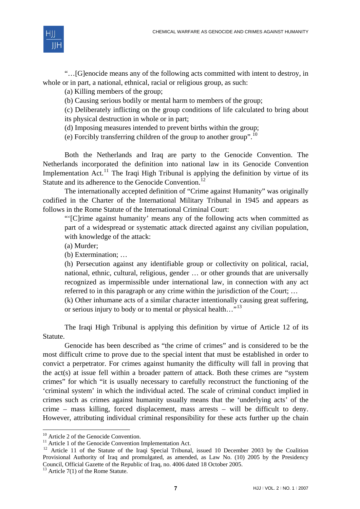

"…[G]enocide means any of the following acts committed with intent to destroy, in whole or in part, a national, ethnical, racial or religious group, as such:

(a) Killing members of the group;

(b) Causing serious bodily or mental harm to members of the group;

(c) Deliberately inflicting on the group conditions of life calculated to bring about

its physical destruction in whole or in part;

(d) Imposing measures intended to prevent births within the group;

(e) Forcibly transferring children of the group to another group".<sup>[10](#page-2-0)</sup>

Both the Netherlands and Iraq are party to the Genocide Convention. The Netherlands incorporated the definition into national law in its Genocide Convention Implementation  $Act.$ <sup>[11](#page-2-1)</sup> The Iraqi High Tribunal is applying the definition by virtue of its Statute and its adherence to the Genocide Convention.<sup>[12](#page-2-2)</sup>

The internationally accepted definition of "Crime against Humanity" was originally codified in the Charter of the International Military Tribunal in 1945 and appears as follows in the Rome Statute of the International Criminal Court:

"'[C]rime against humanity' means any of the following acts when committed as part of a widespread or systematic attack directed against any civilian population, with knowledge of the attack:

(a) Murder;

(b) Extermination; …

(h) Persecution against any identifiable group or collectivity on political, racial, national, ethnic, cultural, religious, gender … or other grounds that are universally recognized as impermissible under international law, in connection with any act referred to in this paragraph or any crime within the jurisdiction of the Court; …

(k) Other inhumane acts of a similar character intentionally causing great suffering, or serious injury to body or to mental or physical health..."<sup>[13](#page-2-3)</sup>

The Iraqi High Tribunal is applying this definition by virtue of Article 12 of its Statute.

Genocide has been described as "the crime of crimes" and is considered to be the most difficult crime to prove due to the special intent that must be established in order to convict a perpetrator. For crimes against humanity the difficulty will fall in proving that the act(s) at issue fell within a broader pattern of attack. Both these crimes are "system crimes" for which "it is usually necessary to carefully reconstruct the functioning of the 'criminal system' in which the individual acted. The scale of criminal conduct implied in crimes such as crimes against humanity usually means that the 'underlying acts' of the crime – mass killing, forced displacement, mass arrests – will be difficult to deny. However, attributing individual criminal responsibility for these acts further up the chain

-

<span id="page-2-0"></span><sup>&</sup>lt;sup>10</sup> Article 2 of the Genocide Convention.

<span id="page-2-1"></span><sup>&</sup>lt;sup>11</sup> Article 1 of the Genocide Convention Implementation Act.

<span id="page-2-2"></span><sup>&</sup>lt;sup>12</sup> Article 11 of the Statute of the Iraqi Special Tribunal, issued 10 December 2003 by the Coalition Provisional Authority of Iraq and promulgated, as amended, as Law No. (10) 2005 by the Presidency Council, Official Gazette of the Republic of Iraq, no. 4006 dated 18 October 2005.

<span id="page-2-3"></span> $13$  Article 7(1) of the Rome Statute.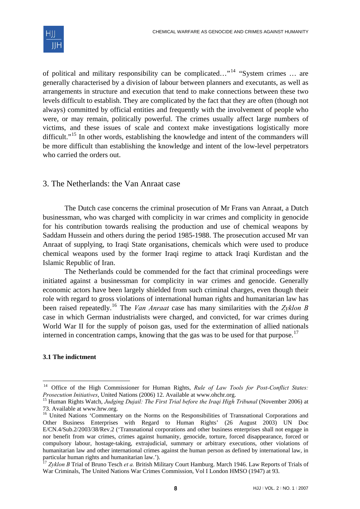

of political and military responsibility can be complicated…"[14](#page-3-0) "System crimes … are generally characterised by a division of labour between planners and executants, as well as arrangements in structure and execution that tend to make connections between these two levels difficult to establish. They are complicated by the fact that they are often (though not always) committed by official entities and frequently with the involvement of people who were, or may remain, politically powerful. The crimes usually affect large numbers of victims, and these issues of scale and context make investigations logistically more difficult."<sup>[15](#page-3-1)</sup> In other words, establishing the knowledge and intent of the commanders will be more difficult than establishing the knowledge and intent of the low-level perpetrators who carried the orders out.

# 3. The Netherlands: the Van Anraat case

The Dutch case concerns the criminal prosecution of Mr Frans van Anraat, a Dutch businessman, who was charged with complicity in war crimes and complicity in genocide for his contribution towards realising the production and use of chemical weapons by Saddam Hussein and others during the period 1985-1988. The prosecution accused Mr van Anraat of supplying, to Iraqi State organisations, chemicals which were used to produce chemical weapons used by the former Iraqi regime to attack Iraqi Kurdistan and the Islamic Republic of Iran.

The Netherlands could be commended for the fact that criminal proceedings were initiated against a businessman for complicity in war crimes and genocide. Generally economic actors have been largely shielded from such criminal charges, even though their role with regard to gross violations of international human rights and humanitarian law has been raised repeatedly.[16](#page-3-2) The *Van Anraat* case has many similarities with the *Zyklon B* case in which German industrialists were charged, and convicted, for war crimes during World War II for the supply of poison gas, used for the extermination of allied nationals interned in concentration camps, knowing that the gas was to be used for that purpose.<sup>[17](#page-3-3)</sup>

#### **3.1 The indictment**

<span id="page-3-0"></span><sup>&</sup>lt;sup>14</sup> Office of the High Commissioner for Human Rights, *Rule of Law Tools for Post-Conflict States: Prosecution Initiatives*, United Nations (2006) 12. Available at www.ohchr.org.

<span id="page-3-1"></span><sup>&</sup>lt;sup>15</sup> Human Rights Watch, *Judging Dujail: The First Trial before the Iraqi High Tribunal* (November 2006) at 73. Available at www.hrw.org.

<span id="page-3-2"></span><sup>&</sup>lt;sup>16</sup> United Nations 'Commentary on the Norms on the Responsibilities of Transnational Corporations and Other Business Enterprises with Regard to Human Rights' (26 August 2003) UN Doc E/CN.4/Sub.2/2003/38/Rev.2 ('Transnational corporations and other business enterprises shall not engage in nor benefit from war crimes, crimes against humanity, genocide, torture, forced disappearance, forced or compulsory labour, hostage-taking, extrajudicial, summary or arbitrary executions, other violations of humanitarian law and other international crimes against the human person as defined by international law, in particular human rights and humanitarian law.').

<span id="page-3-3"></span><sup>17</sup> *Zyklon B* Trial of Bruno Tesch *et a.* British Military Court Hamburg. March 1946. Law Reports of Trials of War Criminals, The United Nations War Crimes Commission, Vol I London HMSO (1947) at 93.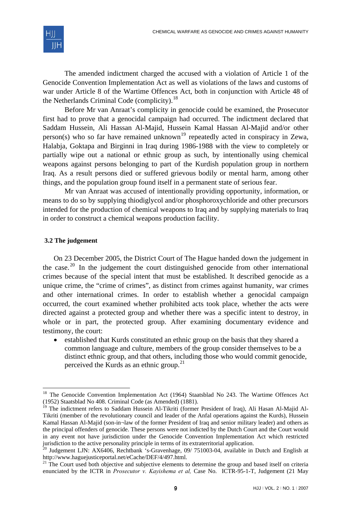

The amended indictment charged the accused with a violation of Article 1 of the Genocide Convention Implementation Act as well as violations of the laws and customs of war under Article 8 of the Wartime Offences Act, both in conjunction with Article 48 of the Netherlands Criminal Code (complicity).<sup>[18](#page-4-0)</sup>

Before Mr van Anraat's complicity in genocide could be examined, the Prosecutor first had to prove that a genocidal campaign had occurred. The indictment declared that Saddam Hussein, Ali Hassan Al-Majid, Hussein Kamal Hassan Al-Majid and/or other person(s) who so far have remained unknown<sup>[19](#page-4-1)</sup> repeatedly acted in conspiracy in Zewa, Halabja, Goktapa and Birginni in Iraq during 1986-1988 with the view to completely or partially wipe out a national or ethnic group as such, by intentionally using chemical weapons against persons belonging to part of the Kurdish population group in northern Iraq. As a result persons died or suffered grievous bodily or mental harm, among other things, and the population group found itself in a permanent state of serious fear.

Mr van Anraat was accused of intentionally providing opportunity, information, or means to do so by supplying thiodiglycol and/or phosphoroxychloride and other precursors intended for the production of chemical weapons to Iraq and by supplying materials to Iraq in order to construct a chemical weapons production facility.

#### **3.2 The judgement**

-

On 23 December 2005, the District Court of The Hague handed down the judgement in the case.<sup>[20](#page-4-2)</sup> In the judgement the court distinguished genocide from other international crimes because of the special intent that must be established. It described genocide as a unique crime, the "crime of crimes", as distinct from crimes against humanity, war crimes and other international crimes. In order to establish whether a genocidal campaign occurred, the court examined whether prohibited acts took place, whether the acts were directed against a protected group and whether there was a specific intent to destroy, in whole or in part, the protected group. After examining documentary evidence and testimony, the court:

• established that Kurds constituted an ethnic group on the basis that they shared a common language and culture, members of the group consider themselves to be a distinct ethnic group, and that others, including those who would commit genocide, perceived the Kurds as an ethnic group. $^{21}$  $^{21}$  $^{21}$ 

<span id="page-4-0"></span><sup>&</sup>lt;sup>18</sup> The Genocide Convention Implementation Act (1964) Staatsblad No 243. The Wartime Offences Act (1952) Staatsblad No 408. Criminal Code (as Amended) (1881).

<span id="page-4-1"></span><sup>&</sup>lt;sup>19</sup> The indictment refers to Saddam Hussein Al-Tikriti (former President of Iraq), Ali Hasan Al-Majid Al-Tikriti (member of the revolutionary council and leader of the Anfal operations against the Kurds), Hussein Kamal Hassan Al-Majid (son-in¬law of the former President of Iraq and senior military leader) and others as the principal offenders of genocide. These persons were not indicted by the Dutch Court and the Court would in any event not have jurisdiction under the Genocide Convention Implementation Act which restricted jurisdiction to the active personality principle in terms of its extraterritorial application.

<span id="page-4-2"></span> $20$  Judgement LJN: AX6406, Rechtbank 's-Gravenhage, 09/ 751003-04, available in Dutch and English at http://www.haguejusticeportal.net/eCache/DEF/4/497.html.<br><sup>21</sup> The Court used both objective and subjective elements to determine the group and based itself on criteria

<span id="page-4-3"></span>enunciated by the ICTR in *Prosecutor v. Kayishema et al,* Case No. ICTR-95-1-T, Judgement (21 May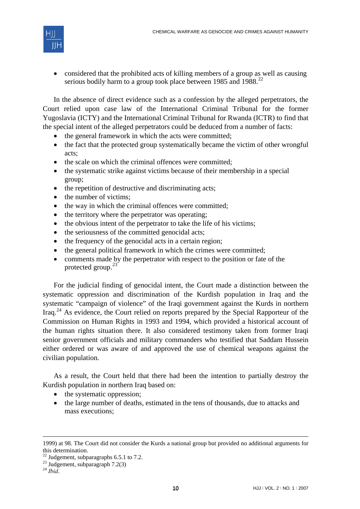

• considered that the prohibited acts of killing members of a group as well as causing serious bodily harm to a group took place between 1985 and 1988.<sup>[22](#page-5-0)</sup>

In the absence of direct evidence such as a confession by the alleged perpetrators, the Court relied upon case law of the International Criminal Tribunal for the former Yugoslavia (ICTY) and the International Criminal Tribunal for Rwanda (ICTR) to find that the special intent of the alleged perpetrators could be deduced from a number of facts:

- the general framework in which the acts were committed;
- the fact that the protected group systematically became the victim of other wrongful acts;
- the scale on which the criminal offences were committed;
- the systematic strike against victims because of their membership in a special group;
- the repetition of destructive and discriminating acts;
- the number of victims;
- the way in which the criminal offences were committed;
- the territory where the perpetrator was operating;
- the obvious intent of the perpetrator to take the life of his victims:
- the seriousness of the committed genocidal acts;
- the frequency of the genocidal acts in a certain region;
- the general political framework in which the crimes were committed;
- comments made by the perpetrator with respect to the position or fate of the protected group.<sup>[23](#page-5-1)</sup>

For the judicial finding of genocidal intent, the Court made a distinction between the systematic oppression and discrimination of the Kurdish population in Iraq and the systematic "campaign of violence" of the Iraqi government against the Kurds in northern Iraq.[24](#page-5-2) As evidence, the Court relied on reports prepared by the Special Rapporteur of the Commission on Human Rights in 1993 and 1994, which provided a historical account of the human rights situation there. It also considered testimony taken from former Iraqi senior government officials and military commanders who testified that Saddam Hussein either ordered or was aware of and approved the use of chemical weapons against the civilian population.

As a result, the Court held that there had been the intention to partially destroy the Kurdish population in northern Iraq based on:

- the systematic oppression;
- the large number of deaths, estimated in the tens of thousands, due to attacks and mass executions;

<sup>1999)</sup> at 98. The Court did not consider the Kurds a national group but provided no additional arguments for this determination.

 $22$  Judgement, subparagraphs 6.5.1 to 7.2.

<span id="page-5-1"></span><span id="page-5-0"></span> $^{23}$  Judgement, subparagraph 7.2(3)

<span id="page-5-2"></span><sup>24</sup> *Ibid*.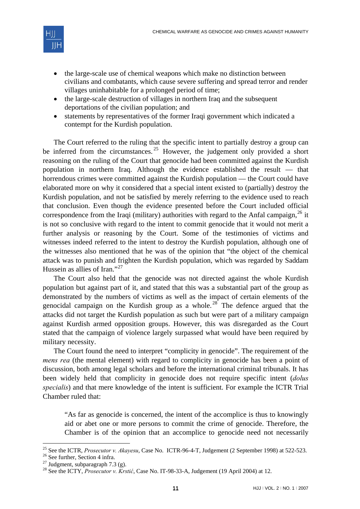

- the large-scale use of chemical weapons which make no distinction between civilians and combatants, which cause severe suffering and spread terror and render villages uninhabitable for a prolonged period of time;
- the large-scale destruction of villages in northern Iraq and the subsequent deportations of the civilian population; and
- statements by representatives of the former Iraqi government which indicated a contempt for the Kurdish population.

The Court referred to the ruling that the specific intent to partially destroy a group can be inferred from the circumstances.<sup>[25](#page-6-0)</sup> However, the judgement only provided a short reasoning on the ruling of the Court that genocide had been committed against the Kurdish population in northern Iraq. Although the evidence established the result — that horrendous crimes were committed against the Kurdish population — the Court could have elaborated more on why it considered that a special intent existed to (partially) destroy the Kurdish population, and not be satisfied by merely referring to the evidence used to reach that conclusion. Even though the evidence presented before the Court included official correspondence from the Iraqi (military) authorities with regard to the Anfal campaign,  $^{26}$  $^{26}$  $^{26}$  it is not so conclusive with regard to the intent to commit genocide that it would not merit a further analysis or reasoning by the Court. Some of the testimonies of victims and witnesses indeed referred to the intent to destroy the Kurdish population, although one of the witnesses also mentioned that he was of the opinion that "the object of the chemical attack was to punish and frighten the Kurdish population, which was regarded by Saddam Hussein as allies of Iran."[27](#page-6-2)

The Court also held that the genocide was not directed against the whole Kurdish population but against part of it, and stated that this was a substantial part of the group as demonstrated by the numbers of victims as well as the impact of certain elements of the genocidal campaign on the Kurdish group as a whole.<sup>[28](#page-6-3)</sup> The defence argued that the attacks did not target the Kurdish population as such but were part of a military campaign against Kurdish armed opposition groups. However, this was disregarded as the Court stated that the campaign of violence largely surpassed what would have been required by military necessity.

The Court found the need to interpret "complicity in genocide". The requirement of the *mens rea* (the mental element) with regard to complicity in genocide has been a point of discussion, both among legal scholars and before the international criminal tribunals. It has been widely held that complicity in genocide does not require specific intent (*dolus specialis*) and that mere knowledge of the intent is sufficient. For example the ICTR Trial Chamber ruled that:

"As far as genocide is concerned, the intent of the accomplice is thus to knowingly aid or abet one or more persons to commit the crime of genocide. Therefore, the Chamber is of the opinion that an accomplice to genocide need not necessarily

<sup>&</sup>lt;sup>25</sup> See the ICTR, *Prosecutor v. Akayesu*, Case No. ICTR-96-4-T, Judgement (2 September 1998) at 522-523.<br><sup>26</sup> See further, Section 4 infra.

<span id="page-6-1"></span><span id="page-6-0"></span><sup>&</sup>lt;sup>26</sup> See further, Section 4 infra.<br><sup>27</sup> Judgment, subparagraph 7.3 (g).

<span id="page-6-3"></span><span id="page-6-2"></span><sup>28</sup> See the ICTY, *Prosecutor v. Krstić*, Case No. IT-98-33-A, Judgement (19 April 2004) at 12.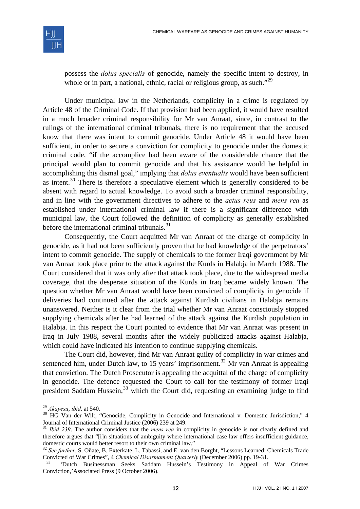

possess the *dolus specialis* of genocide, namely the specific intent to destroy, in whole or in part, a national, ethnic, racial or religious group, as such."<sup>[29](#page-7-0)</sup>

Under municipal law in the Netherlands, complicity in a crime is regulated by Article 48 of the Criminal Code. If that provision had been applied, it would have resulted in a much broader criminal responsibility for Mr van Anraat, since, in contrast to the rulings of the international criminal tribunals, there is no requirement that the accused know that there was intent to commit genocide. Under Article 48 it would have been sufficient, in order to secure a conviction for complicity to genocide under the domestic criminal code, "if the accomplice had been aware of the considerable chance that the principal would plan to commit genocide and that his assistance would be helpful in accomplishing this dismal goal," implying that *dolus eventualis* would have been sufficient as intent.<sup>[30](#page-7-1)</sup> There is therefore a speculative element which is generally considered to be absent with regard to actual knowledge. To avoid such a broader criminal responsibility, and in line with the government directives to adhere to the *actus reus* and *mens rea* as established under international criminal law if there is a significant difference with municipal law, the Court followed the definition of complicity as generally established before the international criminal tribunals. $31$ 

Consequently, the Court acquitted Mr van Anraat of the charge of complicity in genocide, as it had not been sufficiently proven that he had knowledge of the perpetrators' intent to commit genocide. The supply of chemicals to the former Iraqi government by Mr van Anraat took place prior to the attack against the Kurds in Halabja in March 1988. The Court considered that it was only after that attack took place, due to the widespread media coverage, that the desperate situation of the Kurds in Iraq became widely known. The question whether Mr van Anraat would have been convicted of complicity in genocide if deliveries had continued after the attack against Kurdish civilians in Halabja remains unanswered. Neither is it clear from the trial whether Mr van Anraat consciously stopped supplying chemicals after he had learned of the attack against the Kurdish population in Halabja. In this respect the Court pointed to evidence that Mr van Anraat was present in Iraq in July 1988, several months after the widely publicized attacks against Halabja, which could have indicated his intention to continue supplying chemicals.

The Court did, however, find Mr van Anraat guilty of complicity in war crimes and sentenced him, under Dutch law, to 15 years' imprisonment.<sup>[32](#page-7-3)</sup> Mr van Anraat is appealing that conviction. The Dutch Prosecutor is appealing the acquittal of the charge of complicity in genocide. The defence requested the Court to call for the testimony of former Iraqi president Saddam Hussein,  $33$  which the Court did, requesting an examining judge to find

<span id="page-7-0"></span> $29$  Akavesu, ibid. at 540.

<span id="page-7-1"></span><sup>&</sup>lt;sup>30</sup> HG Van der Wilt, "Genocide, Complicity in Genocide and International v. Domestic Jurisdiction," 4 Journal of International Criminal Justice (2006) 239 at 249.

<span id="page-7-2"></span><sup>&</sup>lt;sup>31</sup> *Ibid 239*. The author considers that the *mens rea* in complicity in genocide is not clearly defined and therefore argues that "[i]n situations of ambiguity where international case law offers insufficient guidance, domestic courts would better resort to their own criminal law."

<span id="page-7-3"></span><sup>32</sup> *See further*, S. Oñate, B. Exterkate, L. Tabassi, and E. van den Borght, "Lessons Learned: Chemicals Trade Convicted of War Crimes", 4 *Chemical Disarmament Quarterly* (December 2006) pp. 19-31. 33 'Dutch Businessman Seeks Saddam Hussein's Testimony in Appeal of War Crimes

<span id="page-7-4"></span>Conviction,'Associated Press (9 October 2006).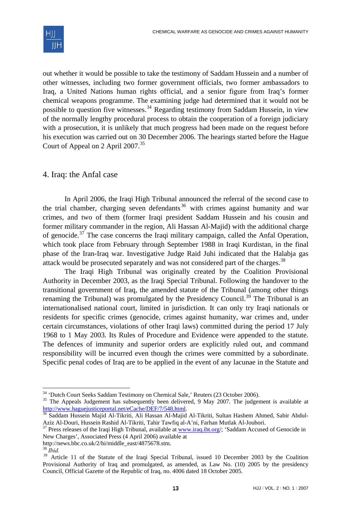out whether it would be possible to take the testimony of Saddam Hussein and a number of other witnesses, including two former government officials, two former ambassadors to Iraq, a United Nations human rights official, and a senior figure from Iraq's former chemical weapons programme. The examining judge had determined that it would not be possible to question five witnesses.<sup>[34](#page-8-0)</sup> Regarding testimony from Saddam Hussein, in view of the normally lengthy procedural process to obtain the cooperation of a foreign judiciary with a prosecution, it is unlikely that much progress had been made on the request before his execution was carried out on 30 December 2006. The hearings started before the Hague Court of Appeal on 2 April 2007.[35](#page-8-1)

# 4. Iraq: the Anfal case

In April 2006, the Iraqi High Tribunal announced the referral of the second case to the trial chamber, charging seven defendants [36](#page-8-2) with crimes against humanity and war crimes, and two of them (former Iraqi president Saddam Hussein and his cousin and former military commander in the region, Ali Hassan Al-Majid) with the additional charge of genocide.<sup>[37](#page-8-3)</sup> The case concerns the Iraqi military campaign, called the Anfal Operation, which took place from February through September 1988 in Iraqi Kurdistan, in the final phase of the Iran-Iraq war. Investigative Judge Raid Juhi indicated that the Halabja gas attack would be prosecuted separately and was not considered part of the charges.<sup>[38](#page-8-4)</sup>

The Iraqi High Tribunal was originally created by the Coalition Provisional Authority in December 2003, as the Iraqi Special Tribunal. Following the handover to the transitional government of Iraq, the amended statute of the Tribunal (among other things renaming the Tribunal) was promulgated by the Presidency Council.<sup>[39](#page-8-5)</sup> The Tribunal is an internationalised national court, limited in jurisdiction. It can only try Iraqi nationals or residents for specific crimes (genocide, crimes against humanity, war crimes and, under certain circumstances, violations of other Iraqi laws) committed during the period 17 July 1968 to 1 May 2003. Its Rules of Procedure and Evidence were appended to the statute. The defences of immunity and superior orders are explicitly ruled out, and command responsibility will be incurred even though the crimes were committed by a subordinate. Specific penal codes of Iraq are to be applied in the event of any lacunae in the Statute and

-

<span id="page-8-0"></span><sup>&</sup>lt;sup>34</sup> 'Dutch Court Seeks Saddam Testimony on Chemical Sale,' Reuters (23 October 2006).

<span id="page-8-1"></span><sup>&</sup>lt;sup>35</sup> The Appeals Judgement has subsequently been delivered, 9 May 2007. The judgement is available at http://www.haguejusticeportal.net/eCache/DEF/7/548.html.

<span id="page-8-2"></span><sup>&</sup>lt;sup>[36](http://www.haguejusticeportal.net/eCache/DEF/7/548.html)</sup> Saddam Hussein Majid Al-Tikriti, Ali Hassan Al-Majid Al-Tikriti, Sultan Hashem Ahmed, Sabir Abdul-<br>Aziz Al-Douri, Hussein Rashid Al-Tikriti, Tahir Tawfiq al-A'ni, Farhan Mutlak Al-Joubori.

<span id="page-8-3"></span>Aziz Al-Douri, Hussein Rashid Al-Tikriti, Tahir Tawrid al-A'ni, Farhan Mutlak Al-Jouri. 2008.<br><sup>37</sup> Press releases of the Iraqi High Tribunal, available at <u>[www.iraq.iht.org](http://www.iraq.iht.org/)</u>/; 'Saddam Accused of Genocide in New Charges', Associated Press (4 April 2006) available at

http://news.bbc.co.uk/2/hi/middle\_east/4875678.stm.

<sup>38</sup> *Ibid.*

<span id="page-8-5"></span><span id="page-8-4"></span><sup>&</sup>lt;sup>39</sup> Article 11 of the Statute of the Iraqi Special Tribunal, issued 10 December 2003 by the Coalition Provisional Authority of Iraq and promulgated, as amended, as Law No. (10) 2005 by the presidency Council, Official Gazette of the Republic of Iraq, no. 4006 dated 18 October 2005.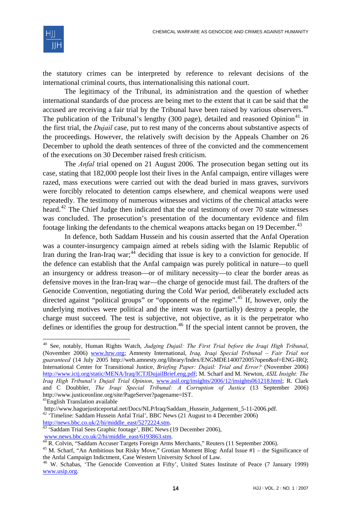

the statutory crimes can be interpreted by reference to relevant decisions of the international criminal courts, thus internationalising this national court.

The legitimacy of the Tribunal, its administration and the question of whether international standards of due process are being met to the extent that it can be said that the accused are receiving a fair trial by the Tribunal have been raised by various observers.<sup>[40](#page-9-0)</sup> The publication of the Tribunal's lengthy (300 page), detailed and reasoned Opinion<sup>[41](#page-9-1)</sup> in the first trial, the *Dujail* case, put to rest many of the concerns about substantive aspects of the proceedings. However, the relatively swift decision by the Appeals Chamber on 26 December to uphold the death sentences of three of the convicted and the commencement of the executions on 30 December raised fresh criticism.

The *Anfal* trial opened on 21 August 2006. The prosecution began setting out its case, stating that 182,000 people lost their lives in the Anfal campaign, entire villages were razed, mass executions were carried out with the dead buried in mass graves, survivors were forcibly relocated to detention camps elsewhere, and chemical weapons were used repeatedly. The testimony of numerous witnesses and victims of the chemical attacks were heard.<sup>[42](#page-9-2)</sup> The Chief Judge then indicated that the oral testimony of over 70 state witnesses was concluded. The prosecution's presentation of the documentary evidence and film footage linking the defendants to the chemical weapons attacks began on 19 December.<sup>[43](#page-9-3)</sup>

In defence, both Saddam Hussein and his cousin asserted that the Anfal Operation was a counter-insurgency campaign aimed at rebels siding with the Islamic Republic of Iran during the Iran-Iraq war;<sup>[44](#page-9-4)</sup> deciding that issue is key to a conviction for genocide. If the defence can establish that the Anfal campaign was purely political in nature—to quell an insurgency or address treason—or of military necessity—to clear the border areas as defensive moves in the Iran-Iraq war—the charge of genocide must fail. The drafters of the Genocide Convention, negotiating during the Cold War period, deliberately excluded acts directed against "political groups" or "opponents of the regime".<sup>[45](#page-9-5)</sup> If, however, only the underlying motives were political and the intent was to (partially) destroy a people, the charge must succeed. The test is subjective, not objective, as it is the perpetrator who defines or identifies the group for destruction.<sup>[46](#page-9-6)</sup> If the special intent cannot be proven, the

<span id="page-9-0"></span><sup>40</sup> See, notably, Human Rights Watch, *Judging Dujail: The First Trial before the Iraqi High Tribunal*, (November 2006) [www.hrw.org;](http://www.hrw.org/) Amnesty International, *Iraq, Iraqi Special Tribunal – Fair Trial not guaranteed* (14 July 2005 http://web.amnesty.org/library/Index/ENGMDE140072005?open&of=ENG-IRQ; International Center for Transitional Justice, *Briefing Paper: Dujail: Trial and Error?* (November 2006) [http://www.ictj.org/static/MENA/Iraq/ICTJDujailBrief.eng.pdf;](http://www.ictj.org/static/MENA/Iraq/ICTJDujailBrief.eng.pdf) M. Scharf and M. Newton, *ASIL Insight: The Iraq High Tribunal's Dujail Trial Opinion*, [www.asil.org/insights/2006/12/insights061218.html;](http://www.asil.org/insights/2006/12/insights061218.html) R. Clark and C Doubbler, *The Iraqi Special Tribunal: A Corruption of Justice* (13 September 2006) http://www.justiceonline.org/site/PageServer?pagename=IST.

<span id="page-9-1"></span><sup>&</sup>lt;sup>41</sup>English Translation available<br>http://www.haguejusticeportal.net/Docs/NLP/Iraq/Saddam Hussein Judgement 5-11-2006.pdf.

<span id="page-9-2"></span><sup>&</sup>lt;sup>42</sup> 'Timeline: Saddam Hussein Anfal Trial', BBC News (21 August to 4 December 2006) [http://news.bbc.co.uk/2/hi/middle\\_east/5272224.stm.](http://news.bbc.co.uk/2/hi/middle_east/5272224.stm)<br><sup>[43](http://news.bbc.co.uk/2/hi/middle_east/5272224.stm)</sup> 'Saddam Trial Sees Graphic footage', BBC News (19 December 2006),

<span id="page-9-3"></span>[www.news.bbc.co.uk/2/hi/middle\\_east/6193863.stm.](http://www.news.bbc.co.uk/2/hi/middle_east/6193863.stm)<br><sup>[44](http://www.news.bbc.co.uk/2/hi/middle_east/6193863.stm)</sup> R. Colvin, "Saddam Accuser Targets Foreign Arms Merchants," Reuters (11 September 2006).

<span id="page-9-5"></span><span id="page-9-4"></span><sup>45</sup> M. Scharf, "An Ambitious but Risky Move," Grotian Moment Blog: Anfal Issue #1 – the Significance of the Anfal Campaign Indictment, Case Western University School of Law.

<span id="page-9-6"></span><sup>46</sup> W. Schabas, 'The Genocide Convention at Fifty', United States Institute of Peace (7 January 1999) [www.usip.org.](http://www.usip.org/)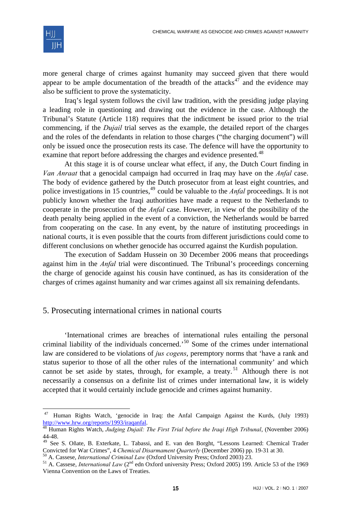

-

more general charge of crimes against humanity may succeed given that there would appear to be ample documentation of the breadth of the attacks<sup>[47](#page-10-0)</sup> and the evidence may also be sufficient to prove the systematicity.

Iraq's legal system follows the civil law tradition, with the presiding judge playing a leading role in questioning and drawing out the evidence in the case. Although the Tribunal's Statute (Article 118) requires that the indictment be issued prior to the trial commencing, if the *Dujail* trial serves as the example, the detailed report of the charges and the roles of the defendants in relation to those charges ("the charging document") will only be issued once the prosecution rests its case. The defence will have the opportunity to examine that report before addressing the charges and evidence presented.<sup>[48](#page-10-1)</sup>

At this stage it is of course unclear what effect, if any, the Dutch Court finding in *Van Anraat* that a genocidal campaign had occurred in Iraq may have on the *Anfal* case. The body of evidence gathered by the Dutch prosecutor from at least eight countries, and police investigations in 15 countries,<sup>[49](#page-10-2)</sup> could be valuable to the *Anfal* proceedings. It is not publicly known whether the Iraqi authorities have made a request to the Netherlands to cooperate in the prosecution of the *Anfal* case. However, in view of the possibility of the death penalty being applied in the event of a conviction, the Netherlands would be barred from cooperating on the case. In any event, by the nature of instituting proceedings in national courts, it is even possible that the courts from different jurisdictions could come to different conclusions on whether genocide has occurred against the Kurdish population.

The execution of Saddam Hussein on 30 December 2006 means that proceedings against him in the *Anfal* trial were discontinued. The Tribunal's proceedings concerning the charge of genocide against his cousin have continued, as has its consideration of the charges of crimes against humanity and war crimes against all six remaining defendants.

# 5. Prosecuting international crimes in national courts

'International crimes are breaches of international rules entailing the personal criminal liability of the individuals concerned.'[50](#page-10-3) Some of the crimes under international law are considered to be violations of *jus cogens*, peremptory norms that 'have a rank and status superior to those of all the other rules of the international community' and which cannot be set aside by states, through, for example, a treaty.<sup>[51](#page-10-4)</sup> Although there is not necessarily a consensus on a definite list of crimes under international law, it is widely accepted that it would certainly include genocide and crimes against humanity.

<span id="page-10-0"></span><sup>&</sup>lt;sup>47</sup> Human Rights Watch, 'genocide in Iraq: the Anfal Campaign Against the Kurds, (July 1993) [http://www.hrw.org/reports/1993/iraqanfal.](http://www.hrw.org/reports/1993/iraqanfal) [48](http://www.hrw.org/reports/1993/iraqanfal) Human Rights Watch, *Judging Dujail: The First Trial before the Iraqi High Tribunal*, (November 2006)

<span id="page-10-1"></span><sup>44-48.</sup> 

<span id="page-10-2"></span><sup>49</sup> See S. Oñate, B. Exterkate, L. Tabassi, and E. van den Borght, "Lessons Learned: Chemical Trader Convicted for War Crimes", 4 Chemical Disarmament Quarterly (December 2006) pp. 19-31 at 30.<br><sup>50</sup> A. Cassese, *International Criminal Law* (Oxford University Press; Oxford 2003) 23.<br><sup>51</sup> A. Cassese, *International Law* (2

<span id="page-10-3"></span>

<span id="page-10-4"></span>Vienna Convention on the Laws of Treaties.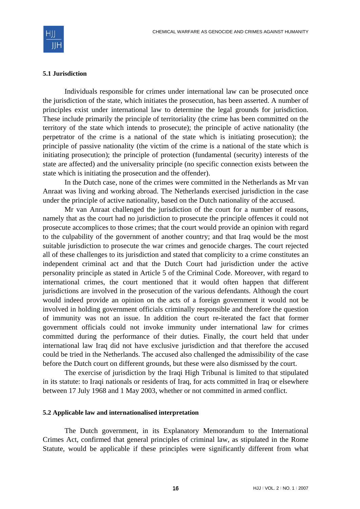

#### **5.1 Jurisdiction**

Individuals responsible for crimes under international law can be prosecuted once the jurisdiction of the state, which initiates the prosecution, has been asserted. A number of principles exist under international law to determine the legal grounds for jurisdiction. These include primarily the principle of territoriality (the crime has been committed on the territory of the state which intends to prosecute); the principle of active nationality (the perpetrator of the crime is a national of the state which is initiating prosecution); the principle of passive nationality (the victim of the crime is a national of the state which is initiating prosecution); the principle of protection (fundamental (security) interests of the state are affected) and the universality principle (no specific connection exists between the state which is initiating the prosecution and the offender).

In the Dutch case, none of the crimes were committed in the Netherlands as Mr van Anraat was living and working abroad. The Netherlands exercised jurisdiction in the case under the principle of active nationality, based on the Dutch nationality of the accused.

Mr van Anraat challenged the jurisdiction of the court for a number of reasons, namely that as the court had no jurisdiction to prosecute the principle offences it could not prosecute accomplices to those crimes; that the court would provide an opinion with regard to the culpability of the government of another country; and that Iraq would be the most suitable jurisdiction to prosecute the war crimes and genocide charges. The court rejected all of these challenges to its jurisdiction and stated that complicity to a crime constitutes an independent criminal act and that the Dutch Court had jurisdiction under the active personality principle as stated in Article 5 of the Criminal Code. Moreover, with regard to international crimes, the court mentioned that it would often happen that different jurisdictions are involved in the prosecution of the various defendants. Although the court would indeed provide an opinion on the acts of a foreign government it would not be involved in holding government officials criminally responsible and therefore the question of immunity was not an issue. In addition the court re-iterated the fact that former government officials could not invoke immunity under international law for crimes committed during the performance of their duties. Finally, the court held that under international law Iraq did not have exclusive jurisdiction and that therefore the accused could be tried in the Netherlands. The accused also challenged the admissibility of the case before the Dutch court on different grounds, but these were also dismissed by the court.

The exercise of jurisdiction by the Iraqi High Tribunal is limited to that stipulated in its statute: to Iraqi nationals or residents of Iraq, for acts committed in Iraq or elsewhere between 17 July 1968 and 1 May 2003, whether or not committed in armed conflict.

#### **5.2 Applicable law and internationalised interpretation**

The Dutch government, in its Explanatory Memorandum to the International Crimes Act, confirmed that general principles of criminal law, as stipulated in the Rome Statute, would be applicable if these principles were significantly different from what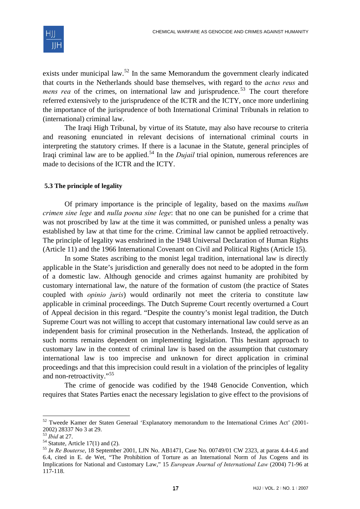

exists under municipal law.<sup>[52](#page-12-0)</sup> In the same Memorandum the government clearly indicated that courts in the Netherlands should base themselves, with regard to the *actus reus* and *mens rea* of the crimes, on international law and jurisprudence.<sup>[53](#page-12-1)</sup> The court therefore referred extensively to the jurisprudence of the ICTR and the ICTY, once more underlining the importance of the jurisprudence of both International Criminal Tribunals in relation to (international) criminal law.

The Iraqi High Tribunal, by virtue of its Statute, may also have recourse to criteria and reasoning enunciated in relevant decisions of international criminal courts in interpreting the statutory crimes. If there is a lacunae in the Statute, general principles of Iraqi criminal law are to be applied.[54](#page-12-2) In the *Dujail* trial opinion, numerous references are made to decisions of the ICTR and the ICTY.

#### **5.3 The principle of legality**

Of primary importance is the principle of legality, based on the maxims *nullum crimen sine lege* and *nulla poena sine lege*: that no one can be punished for a crime that was not proscribed by law at the time it was committed, or punished unless a penalty was established by law at that time for the crime. Criminal law cannot be applied retroactively. The principle of legality was enshrined in the 1948 Universal Declaration of Human Rights (Article 11) and the 1966 International Covenant on Civil and Political Rights (Article 15).

In some States ascribing to the monist legal tradition, international law is directly applicable in the State's jurisdiction and generally does not need to be adopted in the form of a domestic law. Although genocide and crimes against humanity are prohibited by customary international law, the nature of the formation of custom (the practice of States coupled with *opinio juris*) would ordinarily not meet the criteria to constitute law applicable in criminal proceedings. The Dutch Supreme Court recently overturned a Court of Appeal decision in this regard. "Despite the country's monist legal tradition, the Dutch Supreme Court was not willing to accept that customary international law could serve as an independent basis for criminal prosecution in the Netherlands. Instead, the application of such norms remains dependent on implementing legislation. This hesitant approach to customary law in the context of criminal law is based on the assumption that customary international law is too imprecise and unknown for direct application in criminal proceedings and that this imprecision could result in a violation of the principles of legality and non-retroactivity."[55](#page-12-3)

The crime of genocide was codified by the 1948 Genocide Convention, which requires that States Parties enact the necessary legislation to give effect to the provisions of

<span id="page-12-0"></span><sup>&</sup>lt;sup>52</sup> Tweede Kamer der Staten Generaal 'Explanatory memorandum to the International Crimes Act' (2001-2002) 28337 No 3 at 29.<br><sup>53</sup> *Ibid* at 27.

<span id="page-12-2"></span><span id="page-12-1"></span> $<sup>54</sup>$  Statute, Article 17(1) and (2).</sup>

<span id="page-12-3"></span><sup>55</sup> *In Re Bouterse*, 18 September 2001, LJN No. AB1471, Case No. 00749/01 CW 2323, at paras 4.4-4.6 and 6.4, cited in E. de Wet, "The Prohibition of Torture as an International Norm of Jus Cogens and its Implications for National and Customary Law," 15 *European Journal of International Law* (2004) 71-96 at 117-118.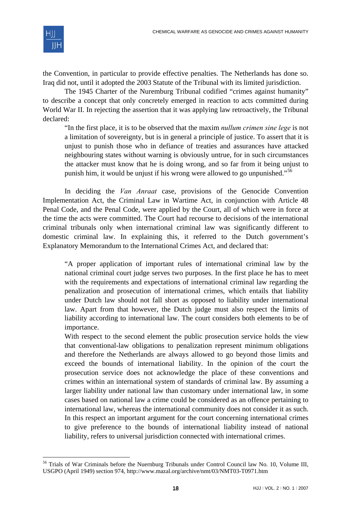

1

the Convention, in particular to provide effective penalties. The Netherlands has done so. Iraq did not, until it adopted the 2003 Statute of the Tribunal with its limited jurisdiction.

The 1945 Charter of the Nuremburg Tribunal codified "crimes against humanity" to describe a concept that only concretely emerged in reaction to acts committed during World War II. In rejecting the assertion that it was applying law retroactively, the Tribunal declared:

"In the first place, it is to be observed that the maxim *nullum crimen sine lege* is not a limitation of sovereignty, but is in general a principle of justice. To assert that it is unjust to punish those who in defiance of treaties and assurances have attacked neighbouring states without warning is obviously untrue, for in such circumstances the attacker must know that he is doing wrong, and so far from it being unjust to punish him, it would be unjust if his wrong were allowed to go unpunished."[56](#page-13-0)

In deciding the *Van Anraat* case, provisions of the Genocide Convention Implementation Act, the Criminal Law in Wartime Act, in conjunction with Article 48 Penal Code, and the Penal Code, were applied by the Court, all of which were in force at the time the acts were committed. The Court had recourse to decisions of the international criminal tribunals only when international criminal law was significantly different to domestic criminal law. In explaining this, it referred to the Dutch government's Explanatory Memorandum to the International Crimes Act, and declared that:

"A proper application of important rules of international criminal law by the national criminal court judge serves two purposes. In the first place he has to meet with the requirements and expectations of international criminal law regarding the penalization and prosecution of international crimes, which entails that liability under Dutch law should not fall short as opposed to liability under international law. Apart from that however, the Dutch judge must also respect the limits of liability according to international law. The court considers both elements to be of importance.

With respect to the second element the public prosecution service holds the view that conventional-law obligations to penalization represent minimum obligations and therefore the Netherlands are always allowed to go beyond those limits and exceed the bounds of international liability. In the opinion of the court the prosecution service does not acknowledge the place of these conventions and crimes within an international system of standards of criminal law. By assuming a larger liability under national law than customary under international law, in some cases based on national law a crime could be considered as an offence pertaining to international law, whereas the international community does not consider it as such. In this respect an important argument for the court concerning international crimes to give preference to the bounds of international liability instead of national liability, refers to universal jurisdiction connected with international crimes.

<span id="page-13-0"></span><sup>56</sup> Trials of War Criminals before the Nuernburg Tribunals under Control Council law No. 10, Volume III, USGPO (April 1949) section 974, http://www.mazal.org/archive/nmt/03/NMT03-T0971.htm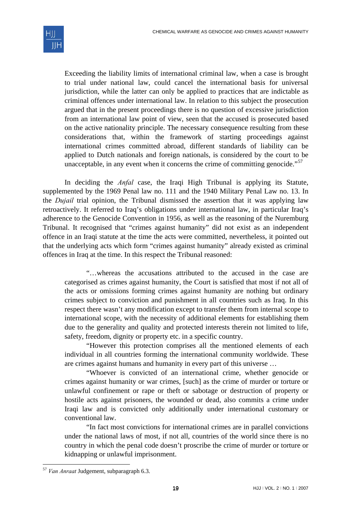

Exceeding the liability limits of international criminal law, when a case is brought to trial under national law, could cancel the international basis for universal jurisdiction, while the latter can only be applied to practices that are indictable as criminal offences under international law. In relation to this subject the prosecution argued that in the present proceedings there is no question of excessive jurisdiction from an international law point of view, seen that the accused is prosecuted based on the active nationality principle. The necessary consequence resulting from these considerations that, within the framework of starting proceedings against international crimes committed abroad, different standards of liability can be applied to Dutch nationals and foreign nationals, is considered by the court to be unacceptable, in any event when it concerns the crime of committing genocide."<sup>[57](#page-14-0)</sup>

In deciding the *Anfal* case, the Iraqi High Tribunal is applying its Statute, supplemented by the 1969 Penal law no. 111 and the 1940 Military Penal Law no. 13. In the *Dujail* trial opinion, the Tribunal dismissed the assertion that it was applying law retroactively. It referred to Iraq's obligations under international law, in particular Iraq's adherence to the Genocide Convention in 1956, as well as the reasoning of the Nuremburg Tribunal. It recognised that "crimes against humanity" did not exist as an independent offence in an Iraqi statute at the time the acts were committed, nevertheless, it pointed out that the underlying acts which form "crimes against humanity" already existed as criminal offences in Iraq at the time. In this respect the Tribunal reasoned:

"…whereas the accusations attributed to the accused in the case are categorised as crimes against humanity, the Court is satisfied that most if not all of the acts or omissions forming crimes against humanity are nothing but ordinary crimes subject to conviction and punishment in all countries such as Iraq. In this respect there wasn't any modification except to transfer them from internal scope to international scope, with the necessity of additional elements for establishing them due to the generality and quality and protected interests therein not limited to life, safety, freedom, dignity or property etc. in a specific country.

"However this protection comprises all the mentioned elements of each individual in all countries forming the international community worldwide. These are crimes against humans and humanity in every part of this universe …

"Whoever is convicted of an international crime, whether genocide or crimes against humanity or war crimes, [such] as the crime of murder or torture or unlawful confinement or rape or theft or sabotage or destruction of property or hostile acts against prisoners, the wounded or dead, also commits a crime under Iraqi law and is convicted only additionally under international customary or conventional law.

"In fact most convictions for international crimes are in parallel convictions under the national laws of most, if not all, countries of the world since there is no country in which the penal code doesn't proscribe the crime of murder or torture or kidnapping or unlawful imprisonment.

<span id="page-14-0"></span><sup>57</sup> *Van Anraat* Judgement, subparagraph 6.3.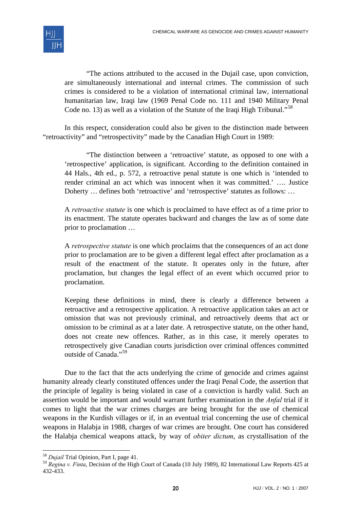

"The actions attributed to the accused in the Dujail case, upon conviction, are simultaneously international and internal crimes. The commission of such crimes is considered to be a violation of international criminal law, international humanitarian law, Iraqi law (1969 Penal Code no. 111 and 1940 Military Penal Code no. 13) as well as a violation of the Statute of the Iraqi High Tribunal."<sup>[58](#page-15-0)</sup>

In this respect, consideration could also be given to the distinction made between "retroactivity" and "retrospectivity" made by the Canadian High Court in 1989:

"The distinction between a 'retroactive' statute, as opposed to one with a 'retrospective' application, is significant. According to the definition contained in 44 Hals., 4th ed., p. 572, a retroactive penal statute is one which is 'intended to render criminal an act which was innocent when it was committed.' …. Justice Doherty … defines both 'retroactive' and 'retrospective' statutes as follows: …

A *retroactive statute* is one which is proclaimed to have effect as of a time prior to its enactment. The statute operates backward and changes the law as of some date prior to proclamation …

A *retrospective statute* is one which proclaims that the consequences of an act done prior to proclamation are to be given a different legal effect after proclamation as a result of the enactment of the statute. It operates only in the future, after proclamation, but changes the legal effect of an event which occurred prior to proclamation.

Keeping these definitions in mind, there is clearly a difference between a retroactive and a retrospective application. A retroactive application takes an act or omission that was not previously criminal, and retroactively deems that act or omission to be criminal as at a later date. A retrospective statute, on the other hand, does not create new offences. Rather, as in this case, it merely operates to retrospectively give Canadian courts jurisdiction over criminal offences committed outside of Canada."<sup>[59](#page-15-1)</sup>

Due to the fact that the acts underlying the crime of genocide and crimes against humanity already clearly constituted offences under the Iraqi Penal Code, the assertion that the principle of legality is being violated in case of a conviction is hardly valid. Such an assertion would be important and would warrant further examination in the *Anfal* trial if it comes to light that the war crimes charges are being brought for the use of chemical weapons in the Kurdish villages or if, in an eventual trial concerning the use of chemical weapons in Halabja in 1988, charges of war crimes are brought. One court has considered the Halabja chemical weapons attack, by way of *obiter dictum*, as crystallisation of the

-

<sup>58</sup> *Dujail* Trial Opinion, Part I, page 41.

<span id="page-15-1"></span><span id="page-15-0"></span><sup>59</sup> *Regina v. Finta*, Decision of the High Court of Canada (10 July 1989), 82 International Law Reports 425 at 432-433.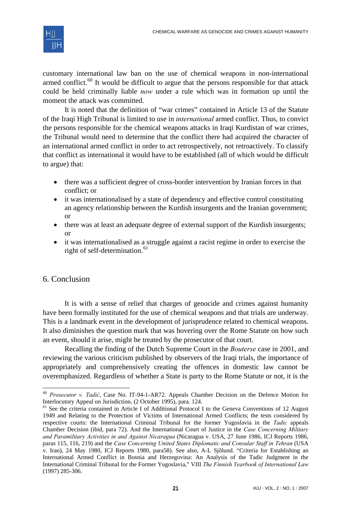

customary international law ban on the use of chemical weapons in non-international armed conflict.<sup>[60](#page-16-0)</sup> It would be difficult to argue that the persons responsible for that attack could be held criminally liable *now* under a rule which was in formation up until the moment the attack was committed.

It is noted that the definition of "war crimes" contained in Article 13 of the Statute of the Iraqi High Tribunal is limited to use in *international* armed conflict. Thus, to convict the persons responsible for the chemical weapons attacks in Iraqi Kurdistan of war crimes, the Tribunal would need to determine that the conflict there had acquired the character of an international armed conflict in order to act retrospectively, not retroactively. To classify that conflict as international it would have to be established (all of which would be difficult to argue) that:

- there was a sufficient degree of cross-border intervention by Iranian forces in that conflict; or
- it was internationalised by a state of dependency and effective control constituting an agency relationship between the Kurdish insurgents and the Iranian government; or
- there was at least an adequate degree of external support of the Kurdish insurgents; or
- it was internationalised as a struggle against a racist regime in order to exercise the right of self-determination.<sup>[61](#page-16-1)</sup>

# 6. Conclusion

-

It is with a sense of relief that charges of genocide and crimes against humanity have been formally instituted for the use of chemical weapons and that trials are underway. This is a landmark event in the development of jurisprudence related to chemical weapons. It also diminishes the question mark that was hovering over the Rome Statute on how such an event, should it arise, might be treated by the prosecutor of that court.

Recalling the finding of the Dutch Supreme Court in the *Bouterse* case in 2001, and reviewing the various criticism published by observers of the Iraqi trials, the importance of appropriately and comprehensively creating the offences in domestic law cannot be overemphasized. Regardless of whether a State is party to the Rome Statute or not, it is the

<span id="page-16-0"></span><sup>60</sup> *Prosecutor v. Tadić*, Case No. IT-94-1-AR72. Appeals Chamber Decision on the Defence Motion for Interlocutory Appeal on Jurisdiction, (2 October 1995), para. 124.

<span id="page-16-1"></span><sup>&</sup>lt;sup>61</sup> See the criteria contained in Article I of Additional Protocol I to the Geneva Conventions of 12 August 1949 and Relating to the Protection of Victims of International Armed Conflicts; the tests considered by respective courts: the International Criminal Tribunal for the former Yugoslavia in the *Tadic* appeals Chamber Decision (ibid, para 72). And the International Court of Justice in the *Case Concerning Military and Paramilitary Activities in and Against Nicaragua* (Nicaragua v. USA, 27 June 1986, ICJ Reports 1986, paras 115, 116, 219) and the *Case Concerning United States Diplomatic and Consular Staff in Tehran* (USA v. Iran), 24 May 1980, ICJ Reports 1980, para58). See also, A-L Sjõlund. "Criteria for Establishing an International Armed Conflict in Bosnia and Herzegovina: An Analysis of the Tadic Judgment in the International Criminal Tribunal for the Former Yugoslavia," VIII *The Finnish Yearbook of International Law* (1997) 285-306.